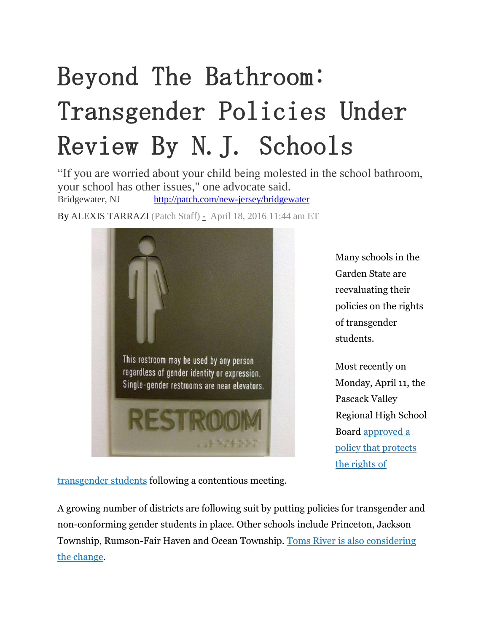## Beyond The Bathroom: Transgender Policies Under Review By N.J. Schools

"If you are worried about your child being molested in the school bathroom, your school has other issues," one advocate said. Bridgewater, NJ <http://patch.com/new-jersey/bridgewater>

By [ALEXIS TARRAZI](http://patch.com/users/alexsis-tarrazi) (Patch Staff) - April 18, 2016 11:44 am ET



Many schools in the Garden State are reevaluating their policies on the rights of transgender students.

Most recently on Monday, April 11, the Pascack Valley Regional High School Board [approved a](http://patch.com/new-jersey/westwood-hillsdale/pascack-valley-board-approves-transgender-bathroom-policy-report-0)  [policy that protects](http://patch.com/new-jersey/westwood-hillsdale/pascack-valley-board-approves-transgender-bathroom-policy-report-0)  [the rights of](http://patch.com/new-jersey/westwood-hillsdale/pascack-valley-board-approves-transgender-bathroom-policy-report-0) 

[transgender students](http://patch.com/new-jersey/westwood-hillsdale/pascack-valley-board-approves-transgender-bathroom-policy-report-0) following a contentious meeting.

A growing number of districts are following suit by putting policies for transgender and non-conforming gender students in place. Other schools include Princeton, Jackson Township, Rumson-Fair Haven and Ocean Township. [Toms River is also considering](http://patch.com/new-jersey/tomsriver/toms-river-schools-prepare-policy-transgendered-students)  [the change.](http://patch.com/new-jersey/tomsriver/toms-river-schools-prepare-policy-transgendered-students)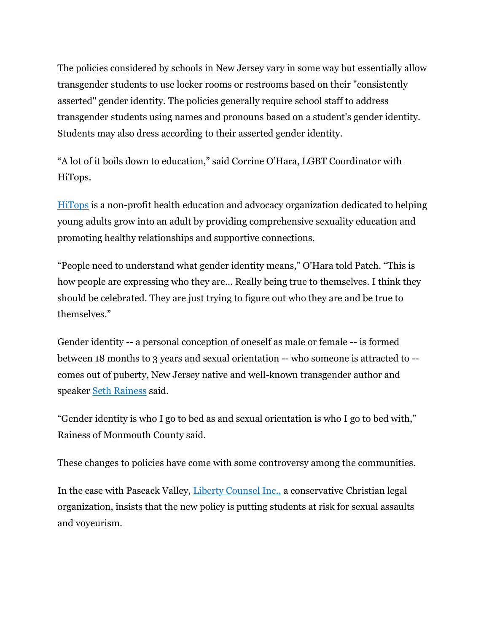The policies considered by schools in New Jersey vary in some way but essentially allow transgender students to use locker rooms or restrooms based on their "consistently asserted" gender identity. The policies generally require school staff to address transgender students using names and pronouns based on a student's gender identity. Students may also dress according to their asserted gender identity.

"A lot of it boils down to education," said Corrine O'Hara, LGBT Coordinator with HiTops.

[HiTops](http://www.hitops.org/) is a non-profit health education and advocacy organization dedicated to helping young adults grow into an adult by providing comprehensive sexuality education and promoting healthy relationships and supportive connections.

"People need to understand what gender identity means," O'Hara told Patch. "This is how people are expressing who they are… Really being true to themselves. I think they should be celebrated. They are just trying to figure out who they are and be true to themselves."

Gender identity -- a personal conception of oneself as male or female -- is formed between 18 months to 3 years and sexual orientation -- who someone is attracted to - comes out of puberty, New Jersey native and well-known transgender author and speaker [Seth Rainess](http://www.sethrainess.com/) said.

"Gender identity is who I go to bed as and sexual orientation is who I go to bed with," Rainess of Monmouth County said.

These changes to policies have come with some controversy among the communities.

In the case with Pascack Valley, [Liberty Counsel Inc.,](http://patch.com/new-jersey/westwood-hillsdale/new-transgender-policy-puts-kids-risk-sexual-assault-christian-group-says) a conservative Christian legal organization, [i](http://patch.com/new-jersey/westwood-hillsdale/new-transgender-policy-puts-kids-risk-sexual-assault-christian-group-says)nsists that the new policy is putting students at risk for sexual assaults and voyeurism.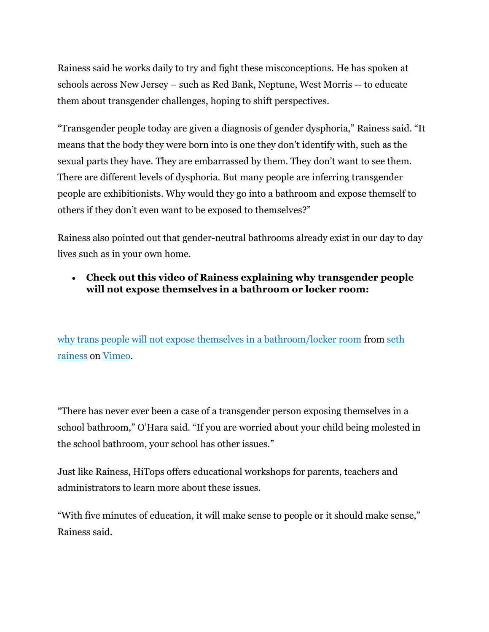Rainess said he works daily to try and fight these misconceptions. He has spoken at schools across New Jersey – such as Red Bank, Neptune, West Morris -- to educate them about transgender challenges, hoping to shift perspectives.

"Transgender people today are given a diagnosis of gender dysphoria," Rainess said. "It means that the body they were born into is one they don't identify with, such as the sexual parts they have. They are embarrassed by them. They don't want to see them. There are different levels of dysphoria. But many people are inferring transgender people are exhibitionists. Why would they go into a bathroom and expose themself to others if they don't even want to be exposed to themselves?"

Rainess also pointed out that gender-neutral bathrooms already exist in our day to day lives such as in your own home.

## **Check out this video of Rainess explaining why transgender people will not expose themselves in a bathroom or locker room:**

[why trans people will not expose themselves in a bathroom/locker room](https://vimeo.com/161292661) from seth [rainess](https://vimeo.com/user22119366) on [Vimeo.](https://vimeo.com/)

"There has never ever been a case of a transgender person exposing themselves in a school bathroom," O'Hara said. "If you are worried about your child being molested in the school bathroom, your school has other issues."

Just like Rainess, HiTops offers educational workshops for parents, teachers and administrators to learn more about these issues.

"With five minutes of education, it will make sense to people or it should make sense," Rainess said.